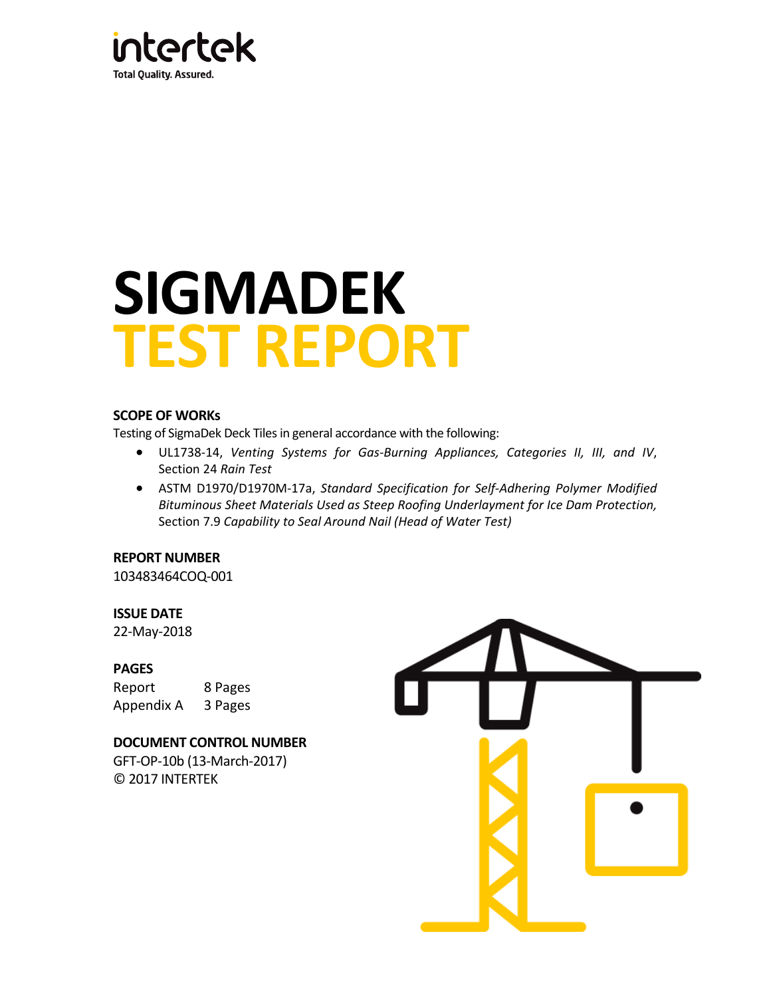

# **SIGMADEK TEST REPORT**

### **SCOPE OF WORKs**

Testing of SigmaDek Deck Tiles in general accordance with the following:

- UL1738‐14, *Venting Systems for Gas‐Burning Appliances, Categories II, III, and IV*, Section 24 *Rain Test*
- ASTM D1970/D1970M‐17a, *Standard Specification for Self‐Adhering Polymer Modified Bituminous Sheet Materials Used as Steep Roofing Underlayment for Ice Dam Protection,* Section 7.9 *Capability to Seal Around Nail (Head of Water Test)*

### **REPORT NUMBER**

103483464COQ‐001

### **ISSUE DATE**

22‐May‐2018

### **PAGES**

Report 8 Pages Appendix A 3 Pages

### **DOCUMENT CONTROL NUMBER**

GFT‐OP‐10b (13‐March‐2017) © 2017 INTERTEK

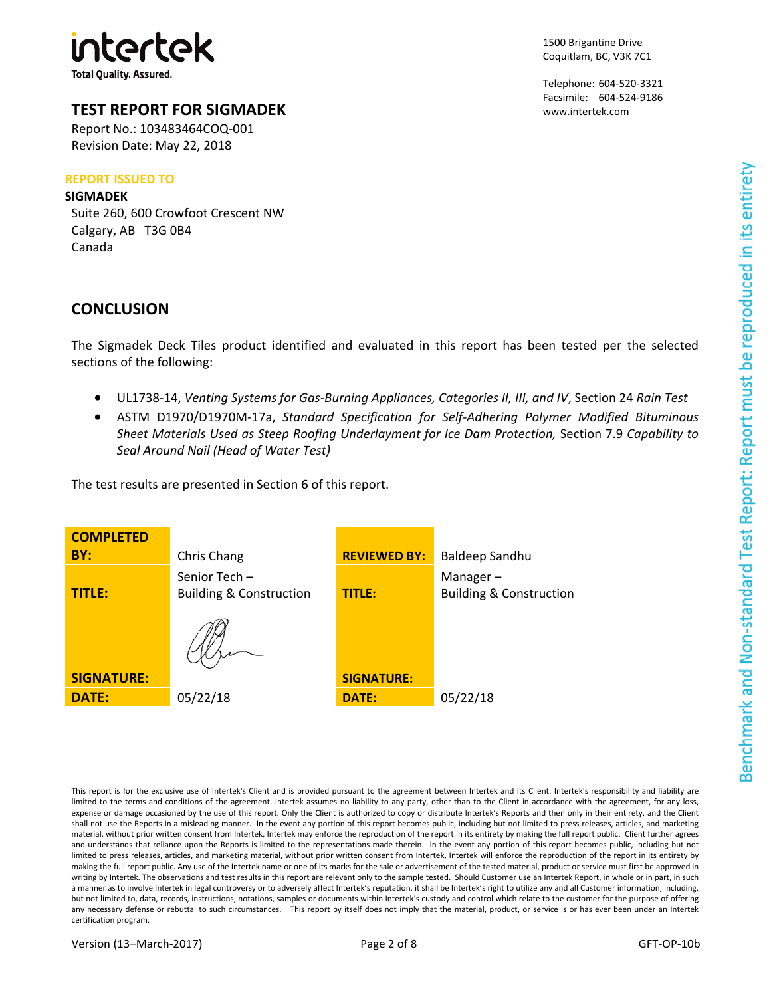

### **TEST REPORT FOR SIGMADEK**

Report No.: 103483464COQ‐001 Revision Date: May 22, 2018

### **REPORT ISSUED TO**

### **SIGMADEK**

Suite 260, 600 Crowfoot Crescent NW Calgary, AB T3G 0B4 Canada

# **CONCLUSION**

The Sigmadek Deck Tiles product identified and evaluated in this report has been tested per the selected sections of the following:

- UL1738‐14, *Venting Systems for Gas‐Burning Appliances, Categories II, III, and IV*, Section 24 *Rain Test*
- ASTM D1970/D1970M‐17a, *Standard Specification for Self‐Adhering Polymer Modified Bituminous Sheet Materials Used as Steep Roofing Underlayment for Ice Dam Protection,* Section 7.9 *Capability to Seal Around Nail (Head of Water Test)*

The test results are presented in Section 6 of this report.



This report is for the exclusive use of Intertek's Client and is provided pursuant to the agreement between Intertek and its Client. Intertek's responsibility and liability are limited to the terms and conditions of the agreement. Intertek assumes no liability to any party, other than to the Client in accordance with the agreement, for any loss, expense or damage occasioned by the use of this report. Only the Client is authorized to copy or distribute Intertek's Reports and then only in their entirety, and the Client shall not use the Reports in a misleading manner. In the event any portion of this report becomes public, including but not limited to press releases, articles, and marketing material, without prior written consent from Intertek, Intertek may enforce the reproduction of the report in its entirety by making the full report public. Client further agrees and understands that reliance upon the Reports is limited to the representations made therein. In the event any portion of this report becomes public, including but not limited to press releases, articles, and marketing material, without prior written consent from Intertek, Intertek will enforce the reproduction of the report in its entirety by making the full report public. Any use of the Intertek name or one of its marks for the sale or advertisement of the tested material, product or service must first be approved in writing by Intertek. The observations and test results in this report are relevant only to the sample tested. Should Customer use an Intertek Report, in whole or in part, in such a manner as to involve Intertek in legal controversy or to adversely affect Intertek's reputation, it shall be Intertek's right to utilize any and all Customer information, including, but not limited to, data, records, instructions, notations, samples or documents within Intertek's custody and control which relate to the customer for the purpose of offering any necessary defense or rebuttal to such circumstances. This report by itself does not imply that the material, product, or service is or has ever been under an Intertek certification program.

Telephone: 604‐520‐3321 Facsimile: 604‐524‐9186 www.intertek.com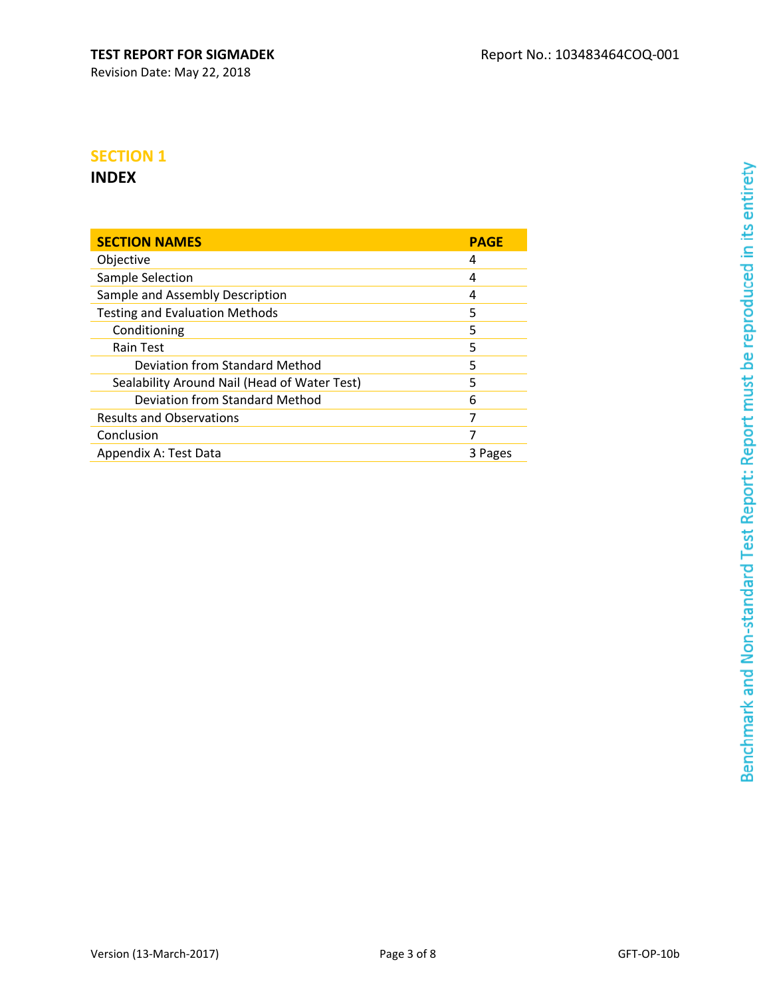# Revision Date: May 22, 2018

# **SECTION 1**

# **INDEX**

| <b>SECTION NAMES</b>                         | <b>PAGE</b> |
|----------------------------------------------|-------------|
| Objective                                    | 4           |
| Sample Selection                             | 4           |
| Sample and Assembly Description              | 4           |
| <b>Testing and Evaluation Methods</b>        | 5           |
| Conditioning                                 | 5           |
| Rain Test                                    | 5           |
| Deviation from Standard Method               | 5           |
| Sealability Around Nail (Head of Water Test) | 5           |
| Deviation from Standard Method               | 6           |
| <b>Results and Observations</b>              | 7           |
| Conclusion                                   | 7           |
| Appendix A: Test Data                        | 3 Pages     |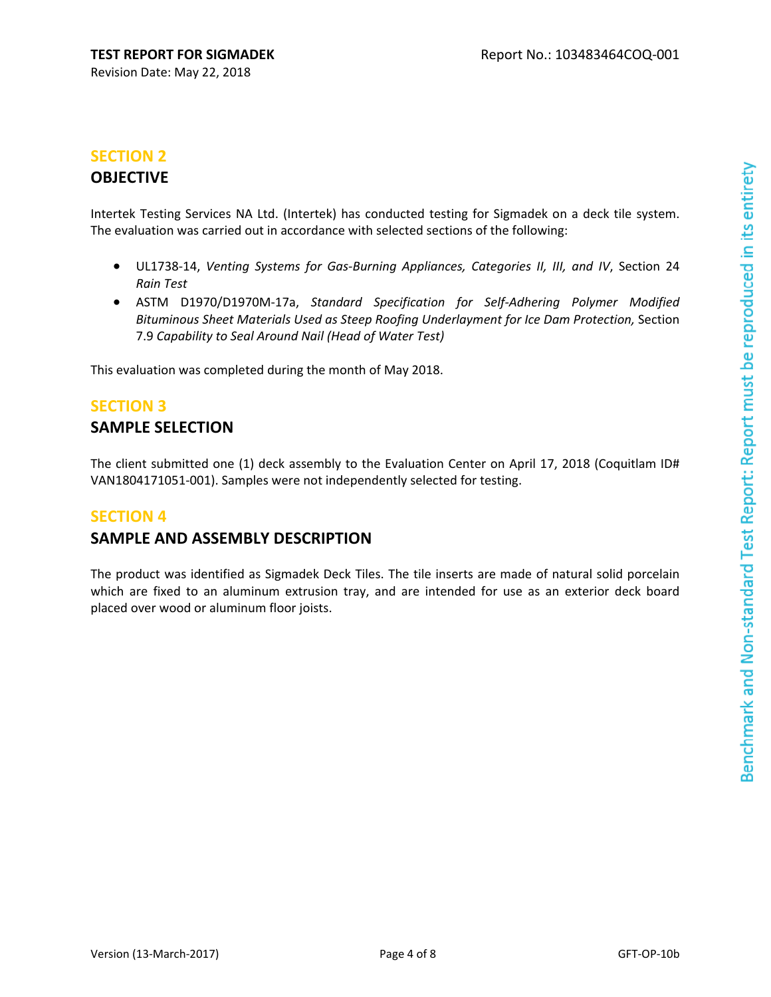# **SECTION 2**

# **OBJECTIVE**

Intertek Testing Services NA Ltd. (Intertek) has conducted testing for Sigmadek on a deck tile system. The evaluation was carried out in accordance with selected sections of the following:

- UL1738‐14, *Venting Systems for Gas‐Burning Appliances, Categories II, III, and IV*, Section 24 *Rain Test*
- ASTM D1970/D1970M‐17a, *Standard Specification for Self‐Adhering Polymer Modified Bituminous Sheet Materials Used as Steep Roofing Underlayment for Ice Dam Protection,* Section 7.9 *Capability to Seal Around Nail (Head of Water Test)*

This evaluation was completed during the month of May 2018.

# **SECTION 3**

# **SAMPLE SELECTION**

The client submitted one (1) deck assembly to the Evaluation Center on April 17, 2018 (Coquitlam ID# VAN1804171051‐001). Samples were not independently selected for testing.

# **SECTION 4**

# **SAMPLE AND ASSEMBLY DESCRIPTION**

The product was identified as Sigmadek Deck Tiles. The tile inserts are made of natural solid porcelain which are fixed to an aluminum extrusion tray, and are intended for use as an exterior deck board placed over wood or aluminum floor joists.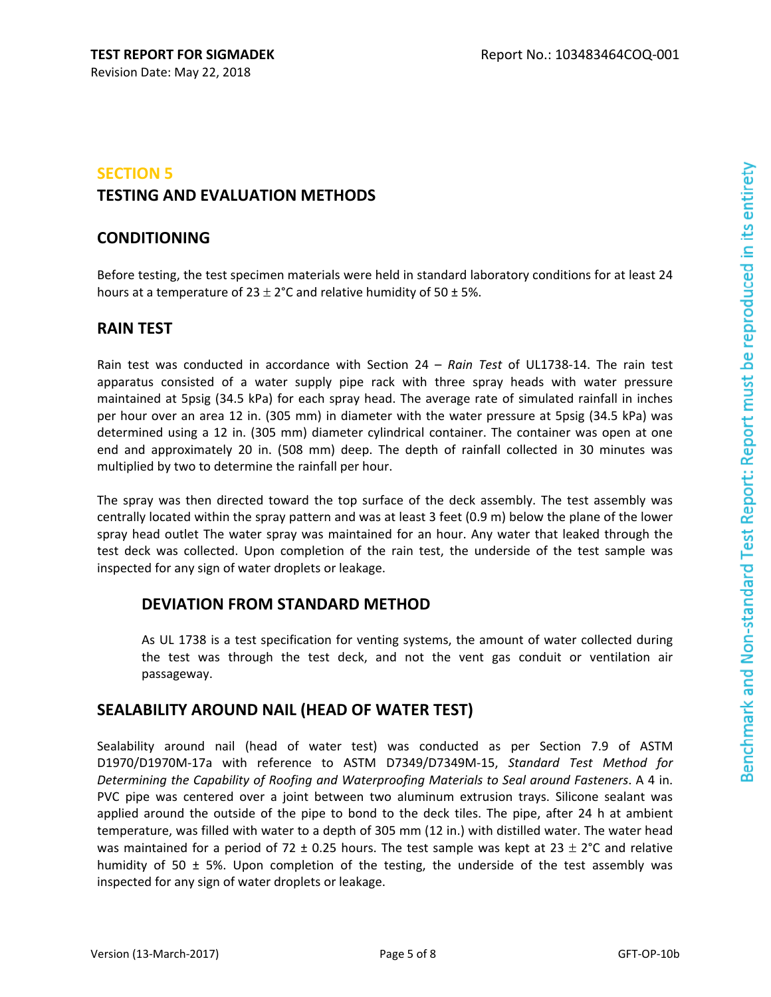# **SECTION 5 TESTING AND EVALUATION METHODS**

# **CONDITIONING**

Before testing, the test specimen materials were held in standard laboratory conditions for at least 24 hours at a temperature of  $23 \pm 2$ °C and relative humidity of 50 ± 5%.

# **RAIN TEST**

Rain test was conducted in accordance with Section 24 – *Rain Test* of UL1738‐14. The rain test apparatus consisted of a water supply pipe rack with three spray heads with water pressure maintained at 5psig (34.5 kPa) for each spray head. The average rate of simulated rainfall in inches per hour over an area 12 in. (305 mm) in diameter with the water pressure at 5psig (34.5 kPa) was determined using a 12 in. (305 mm) diameter cylindrical container. The container was open at one end and approximately 20 in. (508 mm) deep. The depth of rainfall collected in 30 minutes was multiplied by two to determine the rainfall per hour.

The spray was then directed toward the top surface of the deck assembly. The test assembly was centrally located within the spray pattern and was at least 3 feet (0.9 m) below the plane of the lower spray head outlet The water spray was maintained for an hour. Any water that leaked through the test deck was collected. Upon completion of the rain test, the underside of the test sample was inspected for any sign of water droplets or leakage.

# **DEVIATION FROM STANDARD METHOD**

As UL 1738 is a test specification for venting systems, the amount of water collected during the test was through the test deck, and not the vent gas conduit or ventilation air passageway.

# **SEALABILITY AROUND NAIL (HEAD OF WATER TEST)**

Sealability around nail (head of water test) was conducted as per Section 7.9 of ASTM D1970/D1970M‐17a with reference to ASTM D7349/D7349M‐15, *Standard Test Method for Determining the Capability of Roofing and Waterproofing Materials to Seal around Fasteners*. A 4 in. PVC pipe was centered over a joint between two aluminum extrusion trays. Silicone sealant was applied around the outside of the pipe to bond to the deck tiles. The pipe, after 24 h at ambient temperature, was filled with water to a depth of 305 mm (12 in.) with distilled water. The water head was maintained for a period of 72  $\pm$  0.25 hours. The test sample was kept at 23  $\pm$  2°C and relative humidity of 50  $\pm$  5%. Upon completion of the testing, the underside of the test assembly was inspected for any sign of water droplets or leakage.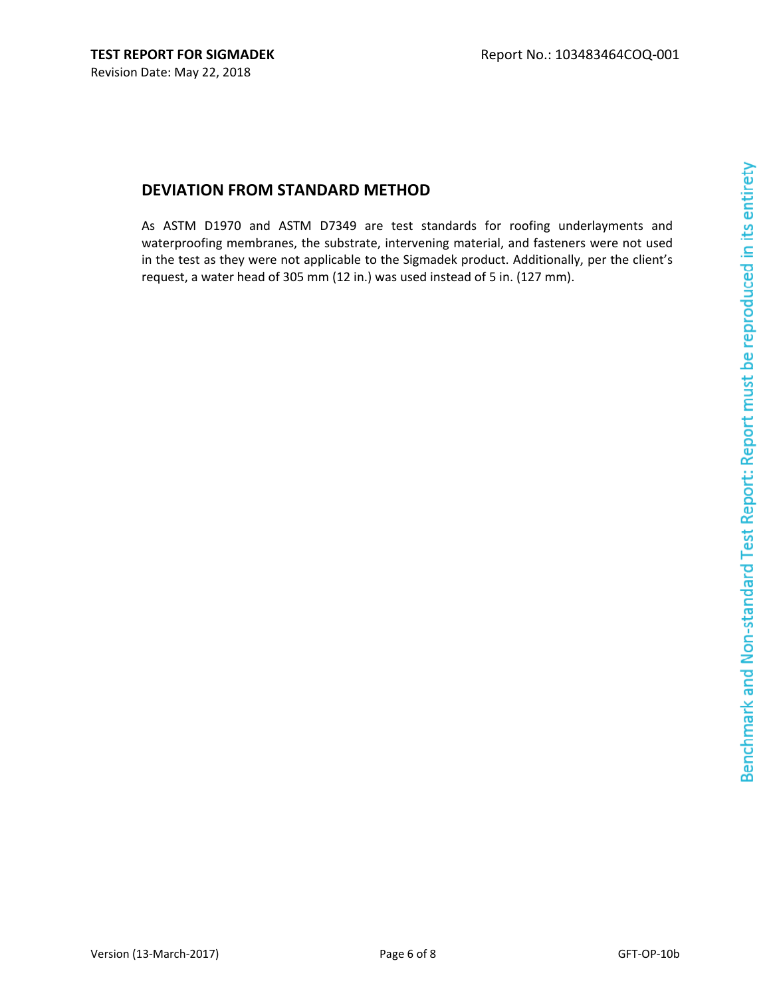# Benchmark and Non-standard Test Report: Report must be reproduced in its entirety

# **DEVIATION FROM STANDARD METHOD**

As ASTM D1970 and ASTM D7349 are test standards for roofing underlayments and waterproofing membranes, the substrate, intervening material, and fasteners were not used in the test as they were not applicable to the Sigmadek product. Additionally, per the client's request, a water head of 305 mm (12 in.) was used instead of 5 in. (127 mm).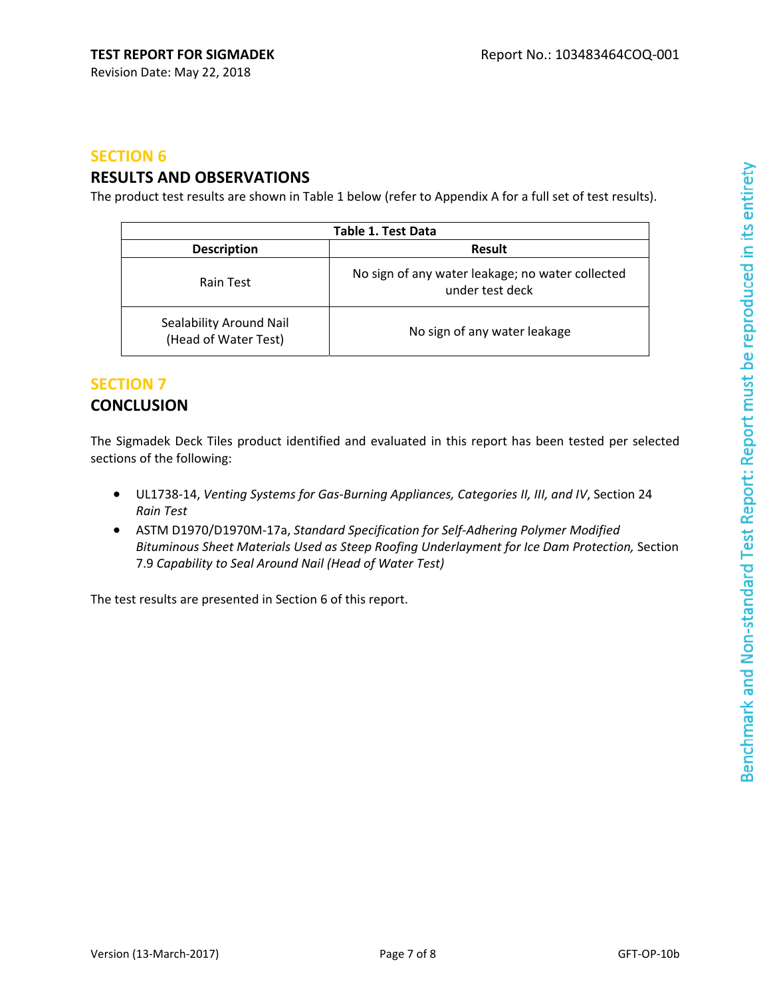### **SECTION 6**

# **RESULTS AND OBSERVATIONS**

The product test results are shown in Table 1 below (refer to Appendix A for a full set of test results).

| Table 1. Test Data                              |                                                                     |  |
|-------------------------------------------------|---------------------------------------------------------------------|--|
| <b>Description</b>                              | Result                                                              |  |
| Rain Test                                       | No sign of any water leakage; no water collected<br>under test deck |  |
| Sealability Around Nail<br>(Head of Water Test) | No sign of any water leakage                                        |  |

# **SECTION 7 CONCLUSION**

The Sigmadek Deck Tiles product identified and evaluated in this report has been tested per selected sections of the following:

- UL1738‐14, *Venting Systems for Gas‐Burning Appliances, Categories II, III, and IV*, Section 24 *Rain Test*
- ASTM D1970/D1970M‐17a, *Standard Specification for Self‐Adhering Polymer Modified Bituminous Sheet Materials Used as Steep Roofing Underlayment for Ice Dam Protection,* Section 7.9 *Capability to Seal Around Nail (Head of Water Test)*

The test results are presented in Section 6 of this report.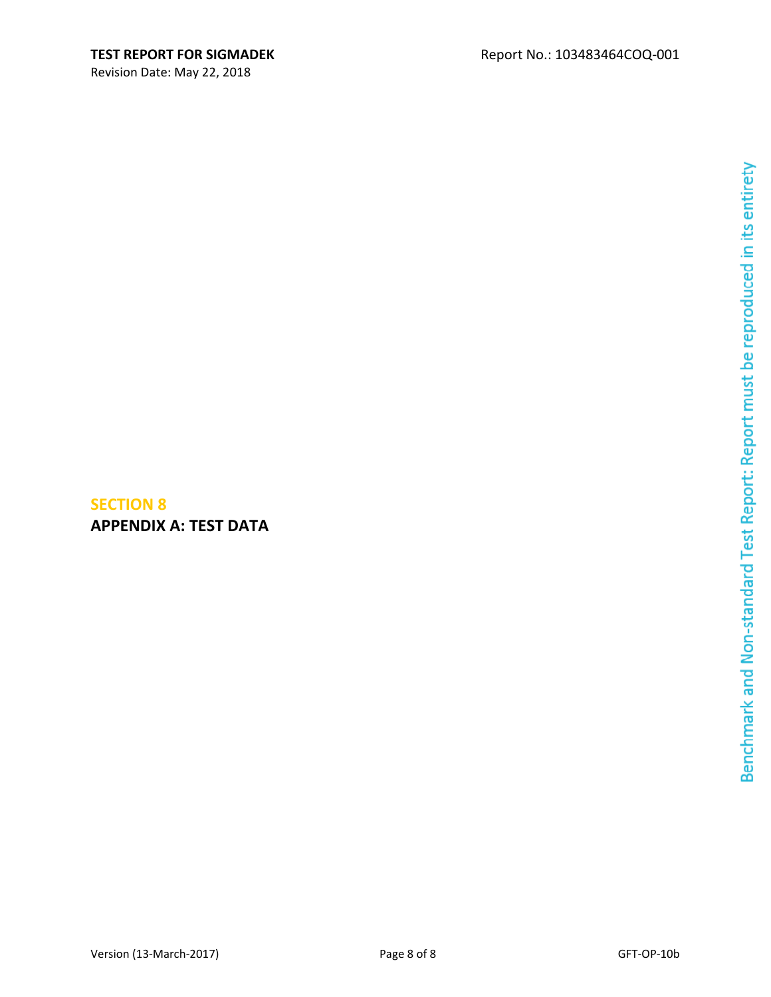Revision Date: May 22, 2018

# Benchmark and Non-standard Test Report: Report must be reproduced in its entirety

### Version (13-March-2017) Page 8 of 8 GFT-OP-10b

**SECTION 8**

**APPENDIX A: TEST DATA**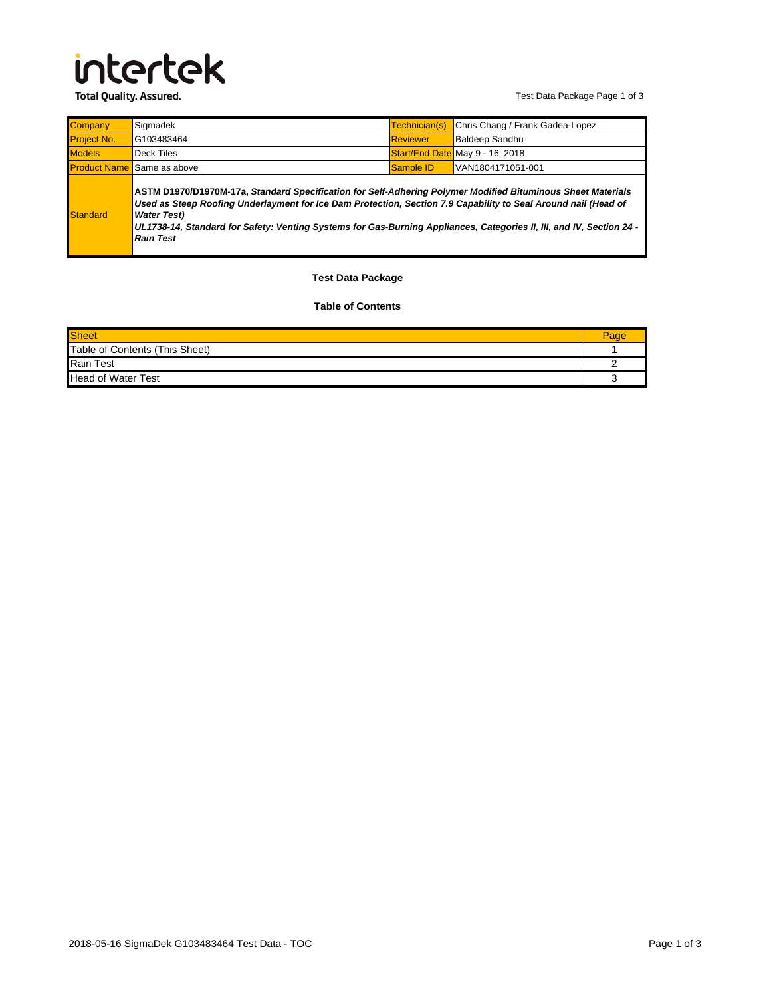# intertek

**Total Quality. Assured.** 

Test Data Package Page 1 of 3

| <b>Company</b>      | Sigmadek                                                                                                                                                                                                                                                                                                                                                                                        | Technician(s)   | Chris Chang / Frank Gadea-Lopez |
|---------------------|-------------------------------------------------------------------------------------------------------------------------------------------------------------------------------------------------------------------------------------------------------------------------------------------------------------------------------------------------------------------------------------------------|-----------------|---------------------------------|
| <b>Project No.</b>  | G103483464                                                                                                                                                                                                                                                                                                                                                                                      | <b>Reviewer</b> | Baldeep Sandhu                  |
| <b>Models</b>       | Deck Tiles                                                                                                                                                                                                                                                                                                                                                                                      |                 | Start/End Date May 9 - 16, 2018 |
| <b>Product Name</b> | Same as above                                                                                                                                                                                                                                                                                                                                                                                   | Sample ID       | VAN1804171051-001               |
| Standard            | ASTM D1970/D1970M-17a, Standard Specification for Self-Adhering Polymer Modified Bituminous Sheet Materials<br>Used as Steep Roofing Underlayment for Ice Dam Protection, Section 7.9 Capability to Seal Around nail (Head of<br><b>Water Test)</b><br>UL1738-14, Standard for Safety: Venting Systems for Gas-Burning Appliances, Categories II, III, and IV, Section 24 -<br><b>Rain Test</b> |                 |                                 |

### **Test Data Package**

### **Table of Contents**

| Sheet                          | Page |
|--------------------------------|------|
| Table of Contents (This Sheet) |      |
| <b>Rain Test</b>               |      |
| <b>Head of Water Test</b>      |      |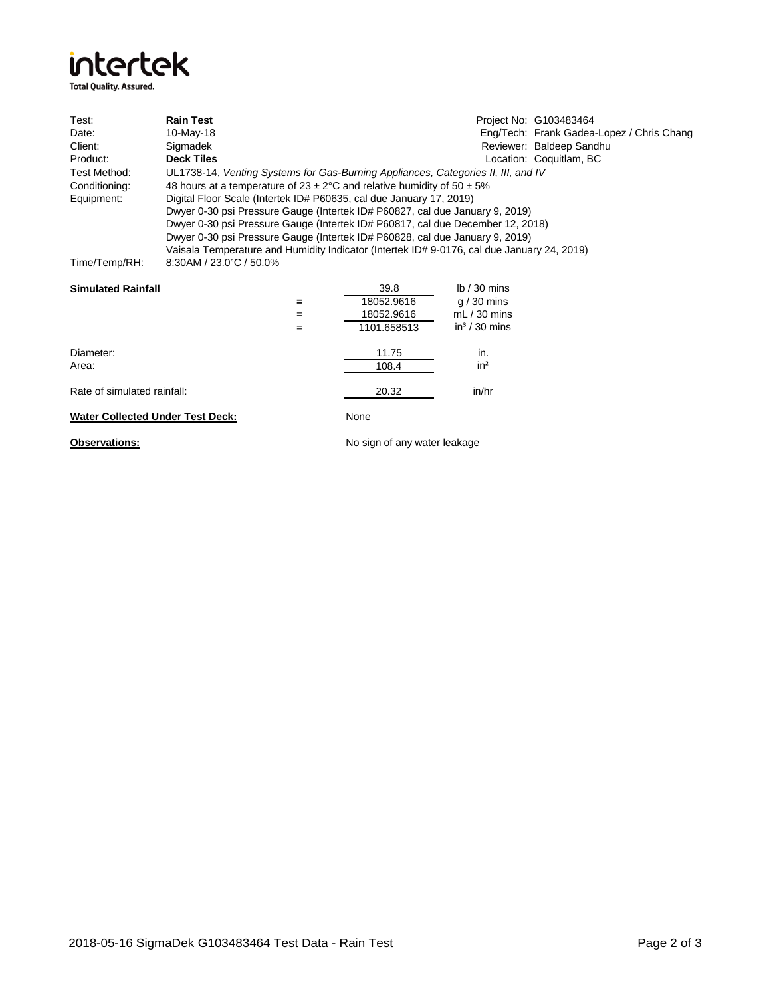

| Test:                                   | <b>Rain Test</b>                                                                           |                              | Project No: G103483464                    |  |
|-----------------------------------------|--------------------------------------------------------------------------------------------|------------------------------|-------------------------------------------|--|
| Date:                                   | 10-May-18                                                                                  |                              | Eng/Tech: Frank Gadea-Lopez / Chris Chang |  |
| Client:                                 | Sigmadek                                                                                   |                              | Reviewer: Baldeep Sandhu                  |  |
| Product:                                | <b>Deck Tiles</b>                                                                          |                              | Location: Coquitlam, BC                   |  |
| Test Method:                            | UL1738-14, Venting Systems for Gas-Burning Appliances, Categories II, III, and IV          |                              |                                           |  |
| Conditioning:                           | 48 hours at a temperature of $23 \pm 2^{\circ}$ C and relative humidity of $50 \pm 5\%$    |                              |                                           |  |
| Equipment:                              | Digital Floor Scale (Intertek ID# P60635, cal due January 17, 2019)                        |                              |                                           |  |
|                                         | Dwyer 0-30 psi Pressure Gauge (Intertek ID# P60827, cal due January 9, 2019)               |                              |                                           |  |
|                                         | Dwyer 0-30 psi Pressure Gauge (Intertek ID# P60817, cal due December 12, 2018)             |                              |                                           |  |
|                                         | Dwyer 0-30 psi Pressure Gauge (Intertek ID# P60828, cal due January 9, 2019)               |                              |                                           |  |
|                                         | Vaisala Temperature and Humidity Indicator (Intertek ID# 9-0176, cal due January 24, 2019) |                              |                                           |  |
| Time/Temp/RH:                           | 8:30AM / 23.0°C / 50.0%                                                                    |                              |                                           |  |
|                                         |                                                                                            |                              |                                           |  |
| <b>Simulated Rainfall</b>               |                                                                                            | 39.8                         | $lb/30$ mins                              |  |
|                                         | $=$                                                                                        | 18052.9616                   | $q/30$ mins                               |  |
|                                         | $=$                                                                                        | 18052.9616                   | $mL/30$ mins                              |  |
|                                         | $=$                                                                                        | 1101.658513                  | $in^3/30$ mins                            |  |
|                                         |                                                                                            |                              |                                           |  |
| Diameter:                               |                                                                                            | 11.75                        | in.                                       |  |
| Area:                                   |                                                                                            | 108.4                        | in <sup>2</sup>                           |  |
|                                         |                                                                                            |                              |                                           |  |
| Rate of simulated rainfall:             |                                                                                            | 20.32                        | in/hr                                     |  |
|                                         |                                                                                            |                              |                                           |  |
| <b>Water Collected Under Test Deck:</b> |                                                                                            | None                         |                                           |  |
| <b>Observations:</b>                    |                                                                                            | No sign of any water leakage |                                           |  |